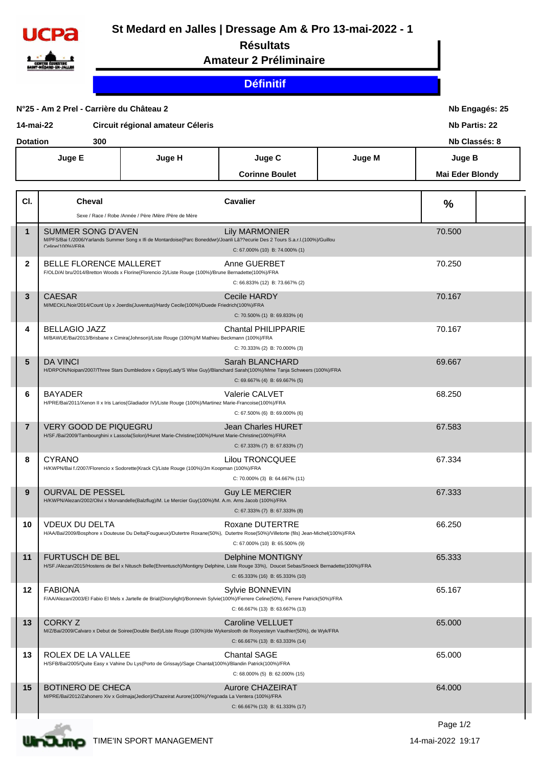

## **St Medard en Jalles | Dressage Am & Pro 13-mai-2022 - 1**

## **Résultats**

**Amateur 2 Préliminaire**

## **Définitif**

| N°25 - Am 2 Prel - Carrière du Château 2<br>Circuit régional amateur Céleris<br>14-mai-22 |                 |                                               |                                                                                                           |                                                                                                                                                                                                           | Nb Engagés: 25<br><b>Nb Partis: 22</b><br>Nb Classés: 8 |                                  |  |
|-------------------------------------------------------------------------------------------|-----------------|-----------------------------------------------|-----------------------------------------------------------------------------------------------------------|-----------------------------------------------------------------------------------------------------------------------------------------------------------------------------------------------------------|---------------------------------------------------------|----------------------------------|--|
|                                                                                           | <b>Dotation</b> | 300<br>Juge E                                 | Juge H                                                                                                    | Juge C<br><b>Corinne Boulet</b>                                                                                                                                                                           | Juge M                                                  | Juge B<br><b>Mai Eder Blondy</b> |  |
|                                                                                           | CI.             | Cheval                                        | Sexe / Race / Robe /Année / Père /Mère /Père de Mère                                                      | <b>Cavalier</b>                                                                                                                                                                                           |                                                         | %                                |  |
|                                                                                           | $\mathbf{1}$    | <b>SUMMER SONG D'AVEN</b><br>Calina/100%)/FRA |                                                                                                           | <b>Lily MARMONIER</b><br>M/PFS/Bai f./2006/Yarlands Summer Song x Ifi de Montardoise(Parc Boneddwr)/Joanli Lâ??ecurie Des 2 Tours S.a.r.l.(100%)/Guillou<br>C: 67.000% (10) B: 74.000% (1)                |                                                         | 70.500                           |  |
|                                                                                           | $\mathbf{2}$    | BELLE FLORENCE MALLERET                       | F/OLD/AI bru/2014/Bretton Woods x Florine(Florencio 2)/Liste Rouge (100%)/Brune Bernadette(100%)/FRA      | Anne GUERBET<br>C: 66.833% (12) B: 73.667% (2)                                                                                                                                                            |                                                         | 70.250                           |  |
|                                                                                           | 3               | <b>CAESAR</b>                                 | M/MECKL/Noir/2014/Count Up x Joerdis(Juventus)/Hardy Cecile(100%)/Duede Friedrich(100%)/FRA               | Cecile HARDY<br>C: 70.500% (1) B: 69.833% (4)                                                                                                                                                             |                                                         | 70.167                           |  |
|                                                                                           | 4               | <b>BELLAGIO JAZZ</b>                          | M/BAWUE/Bai/2013/Brisbane x Cimira(Johnson)/Liste Rouge (100%)/M Mathieu Beckmann (100%)/FRA              | <b>Chantal PHILIPPARIE</b><br>C: 70.333% (2) B: 70.000% (3)                                                                                                                                               |                                                         | 70.167                           |  |
|                                                                                           | 5               | <b>DA VINCI</b>                               |                                                                                                           | Sarah BLANCHARD<br>H/DRPON/Noipan/2007/Three Stars Dumbledore x Gipsy(Lady'S Wise Guy)/Blanchard Sarah(100%)/Mme Tanja Schweers (100%)/FRA<br>C: 69.667% (4) B: 69.667% (5)                               |                                                         | 69.667                           |  |
|                                                                                           | 6               | <b>BAYADER</b>                                | H/PRE/Bai/2011/Xenon II x Iris Larios(Gladiador IV)/Liste Rouge (100%)/Martinez Marie-Francoise(100%)/FRA | Valerie CALVET<br>C: 67.500% (6) B: 69.000% (6)                                                                                                                                                           |                                                         | 68.250                           |  |
|                                                                                           | $\overline{7}$  | <b>VERY GOOD DE PIQUEGRU</b>                  | H/SF./Bai/2009/Tambourghini x Lassola(Solon)/Huret Marie-Christine(100%)/Huret Marie-Christine(100%)/FRA  | Jean Charles HURET<br>C: 67.333% (7) B: 67.833% (7)                                                                                                                                                       |                                                         | 67.583                           |  |
|                                                                                           | 8               | <b>CYRANO</b>                                 | H/KWPN/Bai f./2007/Florencio x Sodorette(Krack C)/Liste Rouge (100%)/Jm Koopman (100%)/FRA                | <b>Lilou TRONCQUEE</b><br>C: 70.000% (3) B: 64.667% (11)                                                                                                                                                  |                                                         | 67.334                           |  |
|                                                                                           | 9               | <b>OURVAL DE PESSEL</b>                       | H/KWPN/Alezan/2002/Olivi x Morvandelle(Balzflug)/M. Le Mercier Guy(100%)/M. A.m. Arns Jacob (100%)/FRA    | <b>Guy LE MERCIER</b><br>C: 67.333% (7) B: 67.333% (8)                                                                                                                                                    |                                                         | 67.333                           |  |
|                                                                                           | 10              | <b>VDEUX DU DELTA</b>                         |                                                                                                           | Roxane DUTERTRE<br>H/AA/Bai/2009/Bosphore x Douteuse Du Delta(Fougueux)/Dutertre Roxane(50%), Dutertre Rose(50%)/Villetorte (fils) Jean-Michel(100%)/FRA<br>C: 67.000% (10) B: 65.500% (9)                |                                                         | 66.250                           |  |
|                                                                                           | 11              | <b>FURTUSCH DE BEL</b>                        |                                                                                                           | <b>Delphine MONTIGNY</b><br>H/SF./Alezan/2015/Hostens de Bel x Nitusch Belle(Ehrentusch)/Montigny Delphine, Liste Rouge 33%), Doucet Sebas/Snoeck Bernadette(100%)/FRA<br>C: 65.333% (16) B: 65.333% (10) |                                                         | 65.333                           |  |
|                                                                                           | 12              | <b>FABIONA</b>                                |                                                                                                           | Sylvie BONNEVIN<br>F/AA/Alezan/2003/El Fabio El Mels x Jartelle de Brial(Dionylight)/Bonnevin Sylvie(100%)/Ferrere Celine(50%), Ferrere Patrick(50%)/FRA<br>C: 66.667% (13) B: 63.667% (13)               |                                                         | 65.167                           |  |
|                                                                                           | 13              | <b>CORKY Z</b>                                |                                                                                                           | Caroline VELLUET<br>M/Z/Bai/2009/Calvaro x Debut de Soiree(Double Bed)/Liste Rouge (100%)/de Wykerslooth de Rooyesteyn Vauthier(50%), de Wyk/FRA<br>C: 66.667% (13) B: 63.333% (14)                       |                                                         | 65.000                           |  |
|                                                                                           | 13              | ROLEX DE LA VALLEE                            | H/SFB/Bai/2005/Quite Easy x Vahine Du Lys(Porto de Grissay)/Sage Chantal(100%)/Blandin Patrick(100%)/FRA  | <b>Chantal SAGE</b><br>C: 68.000% (5) B: 62.000% (15)                                                                                                                                                     |                                                         | 65.000                           |  |
|                                                                                           | 15              | BOTINERO DE CHECA                             | M/PRE/Bai/2012/Zahonero Xiv x Golmaja(Jedion)/Chazeirat Aurore(100%)/Yeguada La Ventera (100%)/FRA        | Aurore CHAZEIRAT<br>C: 66.667% (13) B: 61.333% (17)                                                                                                                                                       |                                                         | 64.000                           |  |
|                                                                                           |                 |                                               |                                                                                                           |                                                                                                                                                                                                           |                                                         |                                  |  |